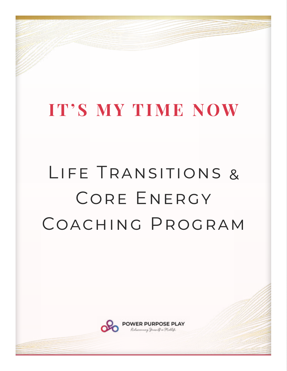## **IT'S MY TIME NOW**

# Life Transitions & CORE ENERGY Coaching Program

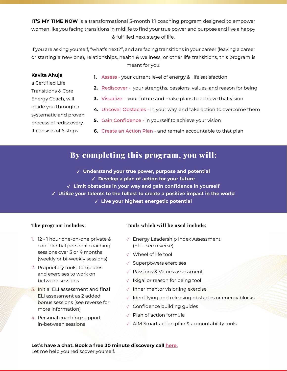**IT'S MY TIME NOW** is a transformational 3-month 1:1 coaching program designed to empower women like you facing transitions in midlife to find your true power and purpose and live a happy & fulfilled next stage of life.

If you are asking yourself, "what's next?", and are facing transitions in your career (leaving a career or starting a new one), relationships, health & wellness, or other life transitions, this program is meant for you.

#### **Kavita Ahuja**,

- **1.** Assess your current level of energy & life satisfaction
- **2.** Rediscover your strengths, passions, values, and reason for being
- **3.** Visualize your future and make plans to achieve that vision
- **4.** Uncover Obstacles in your way, and take action to overcome them
- **5.** Gain Confidence in yourself to achieve your vision
- **6.** Create an Action Plan and remain accountable to that plan

### By completing this program, you will:

- **✓ Understand your true power, purpose and potential ✓ Develop a plan of action for your future ✓ Limit obstacles in your way and gain confidence in yourself**
- **✓ Utilize your talents to the fullest to create a positive impact in the world**
	- **✓ Live your highest energetic potential**

#### **The program includes:**

- 1. 12 1 hour one-on-one private & confidential personal coaching sessions over 3 or 4 months (weekly or bi-weekly sessions)
- 2. Proprietary tools, templates and exercises to work on between sessions
- 3. Initial ELI assessment and final ELI assessment as 2 added bonus sessions (see reverse for more information)
- 4. Personal coaching support in-between sessions

#### **Tools which will be used include:**

- $\sqrt{ }$  Energy Leadership Index Assessment (ELI - see reverse)
- $\sqrt{ }$  Wheel of life tool
- $\sqrt{\phantom{a}}$  Superpowers exercises
- $\sqrt{ }$  Passions & Values assessment
- $\sqrt{ }$  Ikigai or reason for being tool
- $\sqrt{ }$  Inner mentor visioning exercise
- $\sqrt{ }$  Identifying and releasing obstacles or energy blocks
- $\sqrt{ }$  Confidence building guides
- $\sqrt{ }$  Plan of action formula
- $\sqrt{ }$  AIM Smart action plan & accountability tools

#### **Let's have a chat. [Book a free 30 minute discovery call](https://calendly.com/powerpurposeplay/30min) here.**

Let me help you rediscover yourself.

a Certified Life Transitions & Core Energy Coach, will guide you through a systematic and proven process of rediscovery. It consists of 6 steps: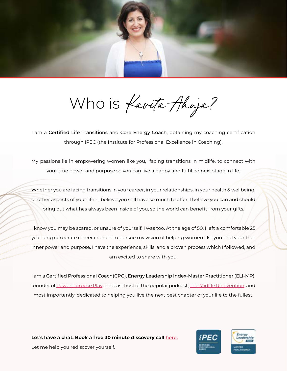

Who is Kavita Ahuja?

I am a Certified Life Transitions and Core Energy Coach, obtaining my coaching certification through IPEC (the Institute for Professional Excellence in Coaching).

My passions lie in empowering women like you, facing transitions in midlife, to connect with your true power and purpose so you can live a happy and fulfilled next stage in life.

Whether you are facing transitions in your career, in your relationships, in your health & wellbeing, or other aspects of your life - I believe you still have so much to offer. I believe you can and should bring out what has always been inside of you, so the world can benefit from your gifts.

I know you may be scared, or unsure of yourself. I was too. At the age of 50, I left a comfortable 25 year long corporate career in order to pursue my vision of helping women like you find your true inner power and purpose. I have the experience, skills, and a proven process which I followed, and am excited to share with you.

I am a Certified Professional Coach(CPC), Energy Leadership Index-Master Practitioner (ELI-MP), founder of [Power Purpose Play,](https://powerpurposeplay.ca/) podcast host of the popular podcast, [The Midlife Reinvention,](https://powerpurposeplay.ca/podcast/) and most importantly, dedicated to helping you live the next best chapter of your life to the fullest.

**Let's have a chat. [Book a free 30 minute discovery call](https://calendly.com/powerpurposeplay/30min) here.** Let me help you rediscover yourself.